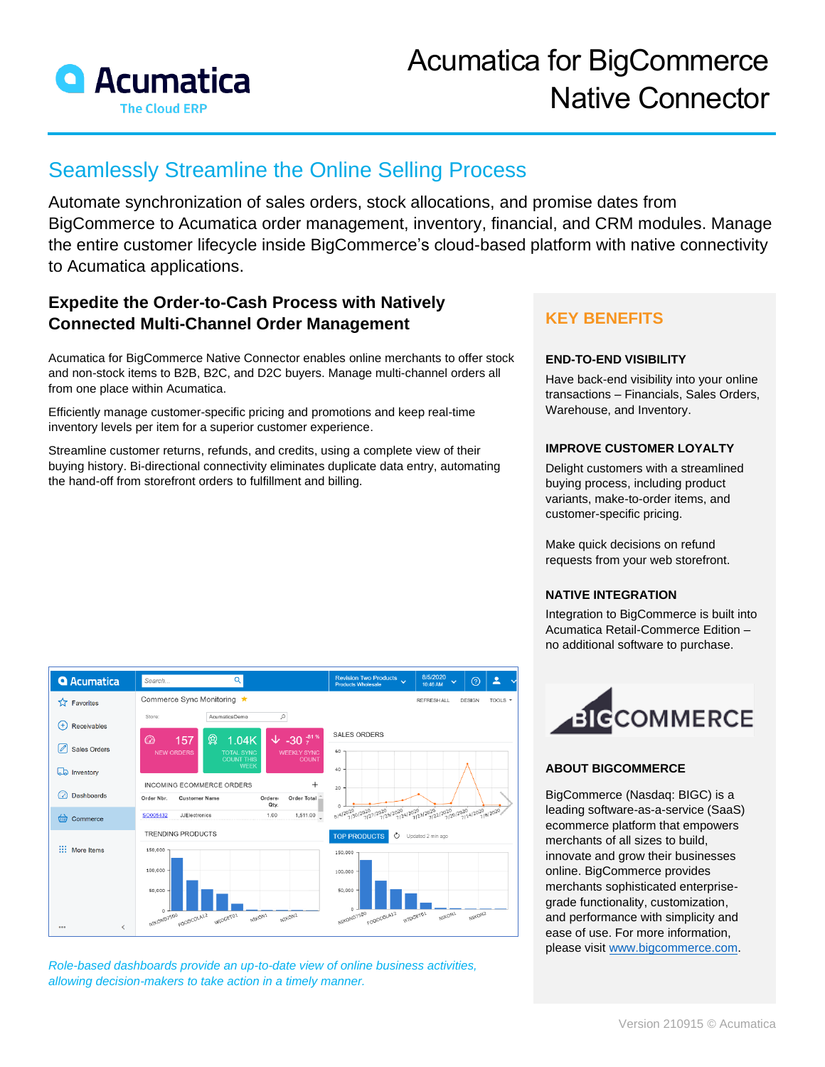

# Acumatica for BigCommerce Native Connector

## Seamlessly Streamline the Online Selling Process

Automate synchronization of sales orders, stock allocations, and promise dates from BigCommerce to Acumatica order management, inventory, financial, and CRM modules. Manage the entire customer lifecycle inside BigCommerce's cloud-based platform with native connectivity to Acumatica applications.

## **Expedite the Order-to-Cash Process with Natively Connected Multi-Channel Order Management**

Acumatica for BigCommerce Native Connector enables online merchants to offer stock and non-stock items to B2B, B2C, and D2C buyers. Manage multi-channel orders all from one place within Acumatica.

Efficiently manage customer-specific pricing and promotions and keep real-time inventory levels per item for a superior customer experience.

Streamline customer returns, refunds, and credits, using a complete view of their buying history. Bi-directional connectivity eliminates duplicate data entry, automating the hand-off from storefront orders to fulfillment and billing.

## **KEY BENEFITS**

#### **END-TO-END VISIBILITY**

Have back-end visibility into your online transactions – Financials, Sales Orders, Warehouse, and Inventory.

#### **IMPROVE CUSTOMER LOYALTY**

Delight customers with a streamlined buying process, including product variants, make-to-order items, and customer-specific pricing.

Make quick decisions on refund requests from your web storefront.

### **NATIVE INTEGRATION**

Integration to BigCommerce is built into Acumatica Retail-Commerce Edition – no additional software to purchase.



### **ABOUT BIGCOMMERCE**

BigCommerce (Nasdaq: BIGC) is a leading software-as-a-service (SaaS) ecommerce platform that empowers merchants of all sizes to build, innovate and grow their businesses online. BigCommerce provides merchants sophisticated enterprisegrade functionality, customization, and performance with simplicity and ease of use. For more information, please visit [www.bigcommerce.com.](https://acumatica.sharepoint.com/Shared%20Documents/Marketing/Product%20Content%20&%20Collateral/Product%20Data%20Sheets/Current%20Data%20Sheets/Source%20Files/Application%20Data%20Sheets/Retail-Commerce/www.bigcommerce.com)

#### **Q** Acumatica  $\overline{\mathbf{a}}$ 8/5/2020<br>10:46 AM  $\odot$  $\mathbf{r}$ Commerce Sync Monitoring ★  $\overrightarrow{\lambda}$  Favorites REERESHALL DESIGN TOOLS **Store** AcumaticaDemo  $\bigoplus$  Receivables SALES ORDERS 157 鱼  $1.04K$  $\sqrt{2}$  -30  $\frac{3}{7}$ 8 Sales Orders **D** Inventory INCOMING ECOMMERCE ORDERS  $\pm$ a Dashboards Order Nbr. Customer Name Ordere<br>Qty. Order Total 8/4/2020 12020 12020 12020 12020 12020 12020 12020 12020 JJElectronics  $1.00$  $1,511.00$ SO005432 commerce **TRENDING PRODUCTS TOP PRODUCTS**  $\circlearrowright$ ::: More Items 150,00  $150.00$ 100.000 50,000 **MAXON**

*Role-based dashboards provide an up-to-date view of online business activities, allowing decision-makers to take action in a timely manner.*